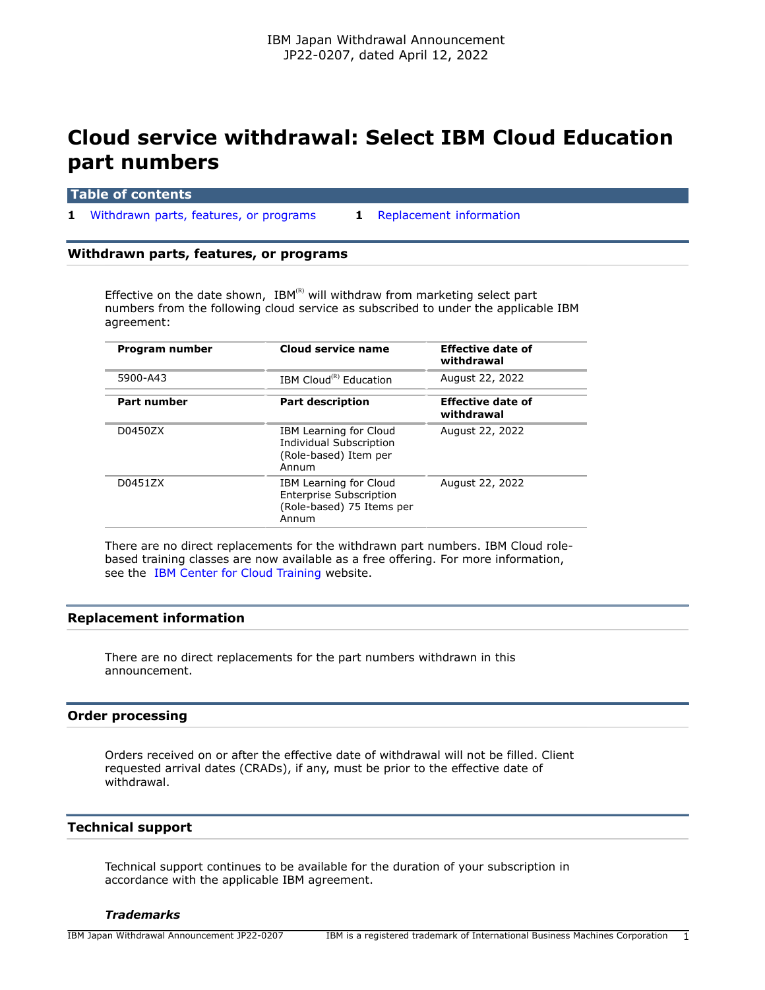# **Cloud service withdrawal: Select IBM Cloud Education part numbers**

| <b>Table of contents</b> |  |  |  |
|--------------------------|--|--|--|
|                          |  |  |  |

**1** [Withdrawn parts, features, or programs](#page-0-0) **1** [Replacement information](#page-0-1)

#### <span id="page-0-0"></span>**Withdrawn parts, features, or programs**

Effective on the date shown,  $IBM^{(R)}$  will withdraw from marketing select part numbers from the following cloud service as subscribed to under the applicable IBM agreement:

| Program number     | Cloud service name                                                                             | <b>Effective date of</b><br>withdrawal |
|--------------------|------------------------------------------------------------------------------------------------|----------------------------------------|
| 5900-A43           | IBM Cloud <sup>(R)</sup> Education                                                             | August 22, 2022                        |
| <b>Part number</b> | <b>Part description</b>                                                                        | <b>Effective date of</b><br>withdrawal |
| D0450ZX            | IBM Learning for Cloud<br>Individual Subscription<br>(Role-based) Item per<br>Annum            | August 22, 2022                        |
| D0451ZX            | IBM Learning for Cloud<br><b>Enterprise Subscription</b><br>(Role-based) 75 Items per<br>Annum | August 22, 2022                        |

There are no direct replacements for the withdrawn part numbers. IBM Cloud rolebased training classes are now available as a free offering. For more information, see the [IBM Center for Cloud Training](https://www.ibm.com/training/cloud) website.

## <span id="page-0-1"></span>**Replacement information**

There are no direct replacements for the part numbers withdrawn in this announcement.

#### **Order processing**

Orders received on or after the effective date of withdrawal will not be filled. Client requested arrival dates (CRADs), if any, must be prior to the effective date of withdrawal.

## **Technical support**

Technical support continues to be available for the duration of your subscription in accordance with the applicable IBM agreement.

### *Trademarks*